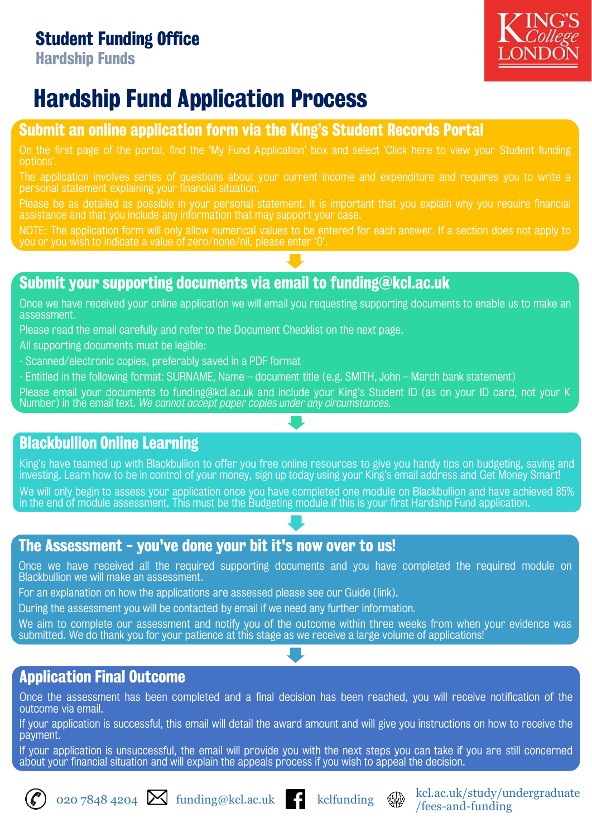### Student Funding Office

Hardship Funds



# Hardship Fund Application Process

#### Submit an online application form via the King's Student Records Portal

On the first page of the portal, find the 'My Fund Application' box and select 'Click here to view your Student funding options'.

The application involves series of questions about your current income and expenditure and requires you to write a personal statement explaining your financial situation.

Please be as detailed as possible in your personal statement. It is important that you explain why you require financial assistance and that you include any information that may support your case.

NOTE: The application form will only allow numerical values to be entered for each answer. If a section does not apply to you or you wish to indicate a value of zero/none/nil, please enter '0'.

#### Submit your supporting documents via email to funding@kcl.ac.uk

Once we have received your online application we will email you requesting supporting documents to enable us to make an assessment.

Please read the email carefully and refer to the Document Checklist on the next page.

All supporting documents must be legible:

- Scanned/electronic copies, preferably saved in a PDF format
- Entitled in the following format: SURNAME, Name document title (e.g. SMITH, John March bank statement)

Please email your documents to funding@kcl.ac.uk and include your King's Student ID (as on your ID card, not your K Number) in the email text. *We cannot accept paper copies under any circumstances.*

#### Blackbullion Online Learning

King's have teamed up with Blackbullion to offer you free online resources to give you handy tips on budgeting, saving and investing. Learn how to be in control of your money, sign up today using your King's email address and Get Money Smart!

We will only begin to assess your application once you have completed one module on Blackbullion and have achieved 85% in the end of module assessment. This must be the Budgeting module if this is your first Hardship Fund application.

#### The Assessment - you've done your bit it's now over to us!

Once we have received all the required supporting documents and you have completed the required module on Blackbullion we will make an assessment.

For an explanation on how the applications are assessed please see our Guide (link).

During the assessment you will be contacted by email if we need any further information.

We aim to complete our assessment and notify you of the outcome within three weeks from when your evidence was submitted. We do thank you for your patience at this stage as we receive a large volume of applications!

#### Application Final Outcome

Once the assessment has been completed and a final decision has been reached, you will receive notification of the outcome via email.

If your application is successful, this email will detail the award amount and will give you instructions on how to receive the payment.

If your application is unsuccessful, the email will provide you with the next steps you can take if you are still concerned about your financial situation and will explain the appeals process if you wish to appeal the decision.





/fees-and-funding